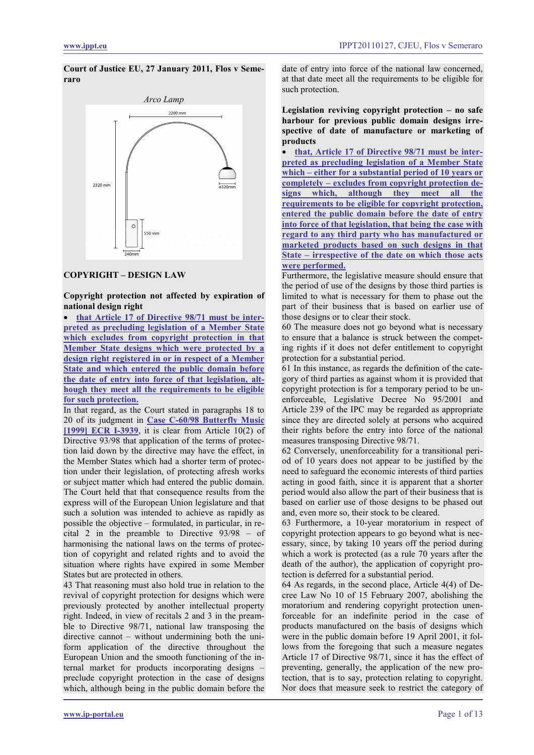**Court of Justice EU, 27 January 2011, Flos v Semeraro**



#### **COPYRIGHT – DESIGN LAW**

**Copyright protection not affected by expiration of national design right**

• **[that Article 17 of Directive 98/71 must be inter](#page-5-0)[preted as precluding legislation of a Member State](#page-5-0)  [which excludes from copyright protection in that](#page-5-0)  [Member State designs which were protected by a](#page-5-0)  [design right registered in or in respect of a Member](#page-5-0)  [State and which entered the public domain before](#page-5-0)  [the date of entry into force of that legislation, alt](#page-5-0)[hough they meet all the requirements to be eligible](#page-5-0)  [for such protection.](#page-5-0)**

In that regard, as the Court stated in paragraphs 18 to 20 of its judgment in **[Case C-60/98 Butterfly Music](http://www.ippt.eu/files/1999/IPPT19990629_ECJ_Butterfly_Music_v_Cemed.pdf)  [\[1999\] ECR I-3939](http://www.ippt.eu/files/1999/IPPT19990629_ECJ_Butterfly_Music_v_Cemed.pdf)**, it is clear from Article 10(2) of Directive 93/98 that application of the terms of protection laid down by the directive may have the effect, in the Member States which had a shorter term of protection under their legislation, of protecting afresh works or subject matter which had entered the public domain. The Court held that that consequence results from the express will of the European Union legislature and that such a solution was intended to achieve as rapidly as possible the objective – formulated, in particular, in recital 2 in the preamble to Directive 93/98 – of harmonising the national laws on the terms of protection of copyright and related rights and to avoid the situation where rights have expired in some Member States but are protected in others.

43 That reasoning must also hold true in relation to the revival of copyright protection for designs which were previously protected by another intellectual property right. Indeed, in view of recitals 2 and 3 in the preamble to Directive 98/71, national law transposing the directive cannot – without undermining both the uniform application of the directive throughout the European Union and the smooth functioning of the internal market for products incorporating designs – preclude copyright protection in the case of designs which, although being in the public domain before the

date of entry into force of the national law concerned, at that date meet all the requirements to be eligible for such protection.

**Legislation reviving copyright protection – no safe harbour for previous public domain designs irrespective of date of manufacture or marketing of products**

• **[that, Article 17 of Directive 98/71 must be inter](#page-6-0)[preted as precluding legislation of a Member State](#page-6-0)  which – [either for a substantial period of 10 years or](#page-6-0)  completely – [excludes from copyright protection de](#page-6-0)**signs which, although they meet all **[requirements to be eligible for copyright protection,](#page-6-0)  [entered the public domain before the date of entry](#page-6-0)  [into force of that legislation, that being the case with](#page-6-0)  [regard to any third party who has manufactured or](#page-6-0)  [marketed products based on such designs in that](#page-6-0)  State – [irrespective of the date on which those acts](#page-6-0)  [were performed.](#page-6-0)**

Furthermore, the legislative measure should ensure that the period of use of the designs by those third parties is limited to what is necessary for them to phase out the part of their business that is based on earlier use of those designs or to clear their stock.

60 The measure does not go beyond what is necessary to ensure that a balance is struck between the competing rights if it does not defer entitlement to copyright protection for a substantial period.

61 In this instance, as regards the definition of the category of third parties as against whom it is provided that copyright protection is for a temporary period to be unenforceable, Legislative Decree No 95/2001 and Article 239 of the IPC may be regarded as appropriate since they are directed solely at persons who acquired their rights before the entry into force of the national measures transposing Directive 98/71.

62 Conversely, unenforceability for a transitional period of 10 years does not appear to be justified by the need to safeguard the economic interests of third parties acting in good faith, since it is apparent that a shorter period would also allow the part of their business that is based on earlier use of those designs to be phased out and, even more so, their stock to be cleared.

63 Furthermore, a 10-year moratorium in respect of copyright protection appears to go beyond what is necessary, since, by taking 10 years off the period during which a work is protected (as a rule 70 years after the death of the author), the application of copyright protection is deferred for a substantial period.

64 As regards, in the second place, Article 4(4) of Decree Law No 10 of 15 February 2007, abolishing the moratorium and rendering copyright protection unenforceable for an indefinite period in the case of products manufactured on the basis of designs which were in the public domain before 19 April 2001, it follows from the foregoing that such a measure negates Article 17 of Directive 98/71, since it has the effect of preventing, generally, the application of the new protection, that is to say, protection relating to copyright. Nor does that measure seek to restrict the category of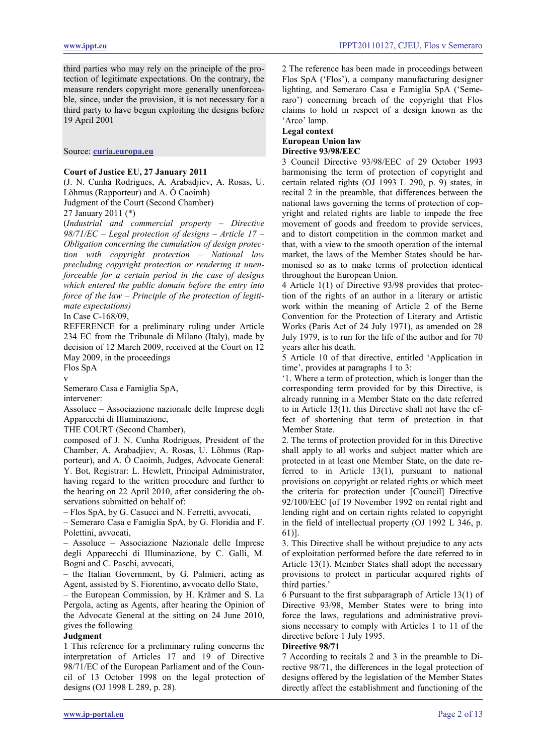third parties who may rely on the principle of the protection of legitimate expectations. On the contrary, the measure renders copyright more generally unenforceable, since, under the provision, it is not necessary for a third party to have begun exploiting the designs before 19 April 2001

Source: **[curia.europa.eu](http://curia.europa.eu/jurisp/cgi-bin/gettext.pl?lang=en&num=79889872C19090168&doc=T&ouvert=T&seance=ARRET)**

# **Court of Justice EU, 27 January 2011**

(J. N. Cunha Rodrigues, A. Arabadjiev, A. Rosas, U. Lõhmus (Rapporteur) and A. Ó Caoimh)

Judgment of the Court (Second Chamber)

27 January 2011 (\*)

(*Industrial and commercial property – Directive 98/71/EC – Legal protection of designs – Article 17 – Obligation concerning the cumulation of design protection with copyright protection – National law precluding copyright protection or rendering it unenforceable for a certain period in the case of designs which entered the public domain before the entry into force of the law – Principle of the protection of legitimate expectations)*

In Case C-168/09,

REFERENCE for a preliminary ruling under Article 234 EC from the Tribunale di Milano (Italy), made by decision of 12 March 2009, received at the Court on 12 May 2009, in the proceedings

Flos SpA

v

Semeraro Casa e Famiglia SpA, intervener:

Assoluce – Associazione nazionale delle Imprese degli Apparecchi di Illuminazione,

THE COURT (Second Chamber),

composed of J. N. Cunha Rodrigues, President of the Chamber, A. Arabadjiev, A. Rosas, U. Lõhmus (Rapporteur), and A. Ó Caoimh, Judges, Advocate General: Y. Bot, Registrar: L. Hewlett, Principal Administrator, having regard to the written procedure and further to the hearing on 22 April 2010, after considering the observations submitted on behalf of:

– Flos SpA, by G. Casucci and N. Ferretti, avvocati,

– Semeraro Casa e Famiglia SpA, by G. Floridia and F. Polettini, avvocati,

– Assoluce – Associazione Nazionale delle Imprese degli Apparecchi di Illuminazione, by C. Galli, M. Bogni and C. Paschi, avvocati,

– the Italian Government, by G. Palmieri, acting as Agent, assisted by S. Fiorentino, avvocato dello Stato,

– the European Commission, by H. Krämer and S. La Pergola, acting as Agents, after hearing the Opinion of the Advocate General at the sitting on 24 June 2010, gives the following

#### **Judgment**

1 This reference for a preliminary ruling concerns the interpretation of Articles 17 and 19 of Directive 98/71/EC of the European Parliament and of the Council of 13 October 1998 on the legal protection of designs (OJ 1998 L 289, p. 28).

2 The reference has been made in proceedings between Flos SpA ('Flos'), a company manufacturing designer lighting, and Semeraro Casa e Famiglia SpA ('Semeraro') concerning breach of the copyright that Flos claims to hold in respect of a design known as the 'Arco' lamp.

# **Legal context European Union law Directive 93/98/EEC**

3 Council Directive 93/98/EEC of 29 October 1993 harmonising the term of protection of copyright and certain related rights (OJ 1993 L 290, p. 9) states, in recital 2 in the preamble, that differences between the national laws governing the terms of protection of copyright and related rights are liable to impede the free movement of goods and freedom to provide services, and to distort competition in the common market and that, with a view to the smooth operation of the internal market, the laws of the Member States should be harmonised so as to make terms of protection identical throughout the European Union.

4 Article 1(1) of Directive 93/98 provides that protection of the rights of an author in a literary or artistic work within the meaning of Article 2 of the Berne Convention for the Protection of Literary and Artistic Works (Paris Act of 24 July 1971), as amended on 28 July 1979, is to run for the life of the author and for 70 years after his death.

5 Article 10 of that directive, entitled 'Application in time', provides at paragraphs 1 to 3:

'1. Where a term of protection, which is longer than the corresponding term provided for by this Directive, is already running in a Member State on the date referred to in Article 13(1), this Directive shall not have the effect of shortening that term of protection in that Member State.

2. The terms of protection provided for in this Directive shall apply to all works and subject matter which are protected in at least one Member State, on the date referred to in Article 13(1), pursuant to national provisions on copyright or related rights or which meet the criteria for protection under [Council] Directive 92/100/EEC [of 19 November 1992 on rental right and lending right and on certain rights related to copyright in the field of intellectual property (OJ 1992 L 346, p. 61)].

3. This Directive shall be without prejudice to any acts of exploitation performed before the date referred to in Article 13(1). Member States shall adopt the necessary provisions to protect in particular acquired rights of third parties.'

6 Pursuant to the first subparagraph of Article 13(1) of Directive 93/98, Member States were to bring into force the laws, regulations and administrative provisions necessary to comply with Articles 1 to 11 of the directive before 1 July 1995.

#### **Directive 98/71**

7 According to recitals 2 and 3 in the preamble to Directive 98/71, the differences in the legal protection of designs offered by the legislation of the Member States directly affect the establishment and functioning of the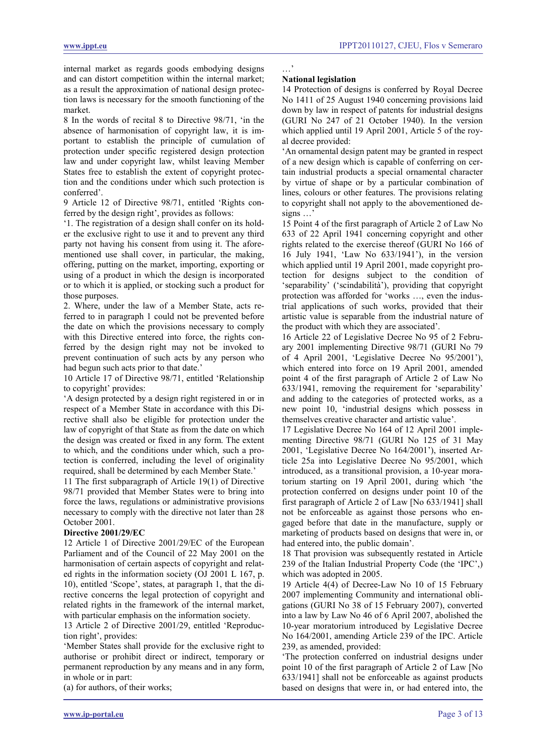internal market as regards goods embodying designs and can distort competition within the internal market; as a result the approximation of national design protection laws is necessary for the smooth functioning of the market.

8 In the words of recital 8 to Directive 98/71, 'in the absence of harmonisation of copyright law, it is important to establish the principle of cumulation of protection under specific registered design protection law and under copyright law, whilst leaving Member States free to establish the extent of copyright protection and the conditions under which such protection is conferred'.

9 Article 12 of Directive 98/71, entitled 'Rights conferred by the design right', provides as follows:

'1. The registration of a design shall confer on its holder the exclusive right to use it and to prevent any third party not having his consent from using it. The aforementioned use shall cover, in particular, the making, offering, putting on the market, importing, exporting or using of a product in which the design is incorporated or to which it is applied, or stocking such a product for those purposes.

2. Where, under the law of a Member State, acts referred to in paragraph 1 could not be prevented before the date on which the provisions necessary to comply with this Directive entered into force, the rights conferred by the design right may not be invoked to prevent continuation of such acts by any person who had begun such acts prior to that date.'

10 Article 17 of Directive 98/71, entitled 'Relationship to copyright' provides:

'A design protected by a design right registered in or in respect of a Member State in accordance with this Directive shall also be eligible for protection under the law of copyright of that State as from the date on which the design was created or fixed in any form. The extent to which, and the conditions under which, such a protection is conferred, including the level of originality required, shall be determined by each Member State.'

11 The first subparagraph of Article 19(1) of Directive 98/71 provided that Member States were to bring into force the laws, regulations or administrative provisions necessary to comply with the directive not later than 28 October 2001.

#### **Directive 2001/29/EC**

12 Article 1 of Directive 2001/29/EC of the European Parliament and of the Council of 22 May 2001 on the harmonisation of certain aspects of copyright and related rights in the information society (OJ 2001 L 167, p. 10), entitled 'Scope', states, at paragraph 1, that the directive concerns the legal protection of copyright and related rights in the framework of the internal market, with particular emphasis on the information society.

13 Article 2 of Directive 2001/29, entitled 'Reproduction right', provides:

'Member States shall provide for the exclusive right to authorise or prohibit direct or indirect, temporary or permanent reproduction by any means and in any form, in whole or in part:

(a) for authors, of their works;

#### **National legislation**

. . . <sup>,</sup>

14 Protection of designs is conferred by Royal Decree No 1411 of 25 August 1940 concerning provisions laid down by law in respect of patents for industrial designs (GURI No 247 of 21 October 1940). In the version which applied until 19 April 2001, Article 5 of the royal decree provided:

'An ornamental design patent may be granted in respect of a new design which is capable of conferring on certain industrial products a special ornamental character by virtue of shape or by a particular combination of lines, colours or other features. The provisions relating to copyright shall not apply to the abovementioned designs …'

15 Point 4 of the first paragraph of Article 2 of Law No 633 of 22 April 1941 concerning copyright and other rights related to the exercise thereof (GURI No 166 of 16 July 1941, 'Law No 633/1941'), in the version which applied until 19 April 2001, made copyright protection for designs subject to the condition of 'separability' ('scindabilità'), providing that copyright protection was afforded for 'works …, even the industrial applications of such works, provided that their artistic value is separable from the industrial nature of the product with which they are associated'.

16 Article 22 of Legislative Decree No 95 of 2 February 2001 implementing Directive 98/71 (GURI No 79 of 4 April 2001, 'Legislative Decree No 95/2001'), which entered into force on 19 April 2001, amended point 4 of the first paragraph of Article 2 of Law No 633/1941, removing the requirement for 'separability' and adding to the categories of protected works, as a new point 10, 'industrial designs which possess in themselves creative character and artistic value'.

17 Legislative Decree No 164 of 12 April 2001 implementing Directive 98/71 (GURI No 125 of 31 May 2001, 'Legislative Decree No 164/2001'), inserted Article 25a into Legislative Decree No 95/2001, which introduced, as a transitional provision, a 10-year moratorium starting on 19 April 2001, during which 'the protection conferred on designs under point 10 of the first paragraph of Article 2 of Law [No 633/1941] shall not be enforceable as against those persons who engaged before that date in the manufacture, supply or marketing of products based on designs that were in, or had entered into, the public domain'.

18 That provision was subsequently restated in Article 239 of the Italian Industrial Property Code (the 'IPC',) which was adopted in 2005.

19 Article 4(4) of Decree-Law No 10 of 15 February 2007 implementing Community and international obligations (GURI No 38 of 15 February 2007), converted into a law by Law No 46 of 6 April 2007, abolished the 10-year moratorium introduced by Legislative Decree No 164/2001, amending Article 239 of the IPC. Article 239, as amended, provided:

'The protection conferred on industrial designs under point 10 of the first paragraph of Article 2 of Law [No 633/1941] shall not be enforceable as against products based on designs that were in, or had entered into, the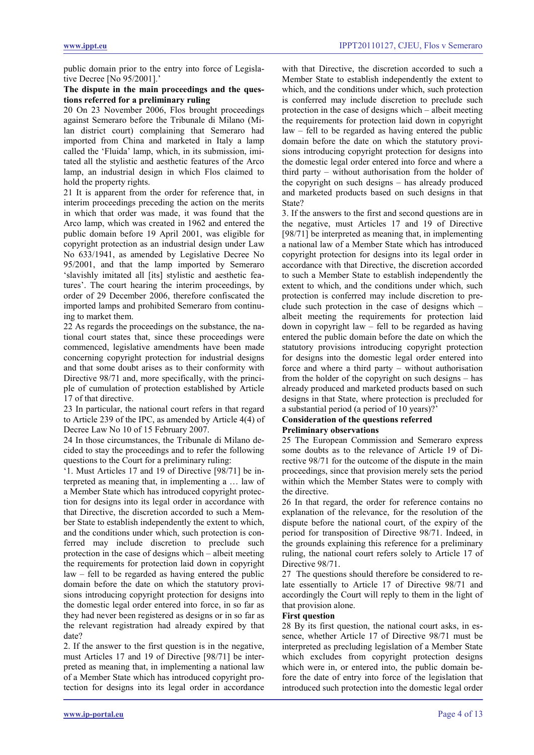public domain prior to the entry into force of Legislative Decree [No 95/2001].'

#### **The dispute in the main proceedings and the questions referred for a preliminary ruling**

20 On 23 November 2006, Flos brought proceedings against Semeraro before the Tribunale di Milano (Milan district court) complaining that Semeraro had imported from China and marketed in Italy a lamp called the 'Fluida' lamp, which, in its submission, imitated all the stylistic and aesthetic features of the Arco lamp, an industrial design in which Flos claimed to hold the property rights.

21 It is apparent from the order for reference that, in interim proceedings preceding the action on the merits in which that order was made, it was found that the Arco lamp, which was created in 1962 and entered the public domain before 19 April 2001, was eligible for copyright protection as an industrial design under Law No 633/1941, as amended by Legislative Decree No 95/2001, and that the lamp imported by Semeraro 'slavishly imitated all [its] stylistic and aesthetic features'. The court hearing the interim proceedings, by order of 29 December 2006, therefore confiscated the imported lamps and prohibited Semeraro from continuing to market them.

22 As regards the proceedings on the substance, the national court states that, since these proceedings were commenced, legislative amendments have been made concerning copyright protection for industrial designs and that some doubt arises as to their conformity with Directive 98/71 and, more specifically, with the principle of cumulation of protection established by Article 17 of that directive.

23 In particular, the national court refers in that regard to Article 239 of the IPC, as amended by Article 4(4) of Decree Law No 10 of 15 February 2007.

24 In those circumstances, the Tribunale di Milano decided to stay the proceedings and to refer the following questions to the Court for a preliminary ruling:

'1. Must Articles 17 and 19 of Directive [98/71] be interpreted as meaning that, in implementing a … law of a Member State which has introduced copyright protection for designs into its legal order in accordance with that Directive, the discretion accorded to such a Member State to establish independently the extent to which, and the conditions under which, such protection is conferred may include discretion to preclude such protection in the case of designs which – albeit meeting the requirements for protection laid down in copyright law – fell to be regarded as having entered the public domain before the date on which the statutory provisions introducing copyright protection for designs into the domestic legal order entered into force, in so far as they had never been registered as designs or in so far as the relevant registration had already expired by that date?

2. If the answer to the first question is in the negative, must Articles 17 and 19 of Directive [98/71] be interpreted as meaning that, in implementing a national law of a Member State which has introduced copyright protection for designs into its legal order in accordance with that Directive, the discretion accorded to such a Member State to establish independently the extent to which, and the conditions under which, such protection is conferred may include discretion to preclude such protection in the case of designs which – albeit meeting the requirements for protection laid down in copyright law – fell to be regarded as having entered the public domain before the date on which the statutory provisions introducing copyright protection for designs into the domestic legal order entered into force and where a third party – without authorisation from the holder of the copyright on such designs – has already produced and marketed products based on such designs in that State?

3. If the answers to the first and second questions are in the negative, must Articles 17 and 19 of Directive [98/71] be interpreted as meaning that, in implementing a national law of a Member State which has introduced copyright protection for designs into its legal order in accordance with that Directive, the discretion accorded to such a Member State to establish independently the extent to which, and the conditions under which, such protection is conferred may include discretion to preclude such protection in the case of designs which – albeit meeting the requirements for protection laid down in copyright law – fell to be regarded as having entered the public domain before the date on which the statutory provisions introducing copyright protection for designs into the domestic legal order entered into force and where a third party – without authorisation from the holder of the copyright on such designs – has already produced and marketed products based on such designs in that State, where protection is precluded for a substantial period (a period of 10 years)?'

#### **Consideration of the questions referred Preliminary observations**

25 The European Commission and Semeraro express some doubts as to the relevance of Article 19 of Directive 98/71 for the outcome of the dispute in the main proceedings, since that provision merely sets the period within which the Member States were to comply with the directive.

26 In that regard, the order for reference contains no explanation of the relevance, for the resolution of the dispute before the national court, of the expiry of the period for transposition of Directive 98/71. Indeed, in the grounds explaining this reference for a preliminary ruling, the national court refers solely to Article 17 of Directive 98/71.

27 The questions should therefore be considered to relate essentially to Article 17 of Directive 98/71 and accordingly the Court will reply to them in the light of that provision alone.

#### **First question**

28 By its first question, the national court asks, in essence, whether Article 17 of Directive 98/71 must be interpreted as precluding legislation of a Member State which excludes from copyright protection designs which were in, or entered into, the public domain before the date of entry into force of the legislation that introduced such protection into the domestic legal order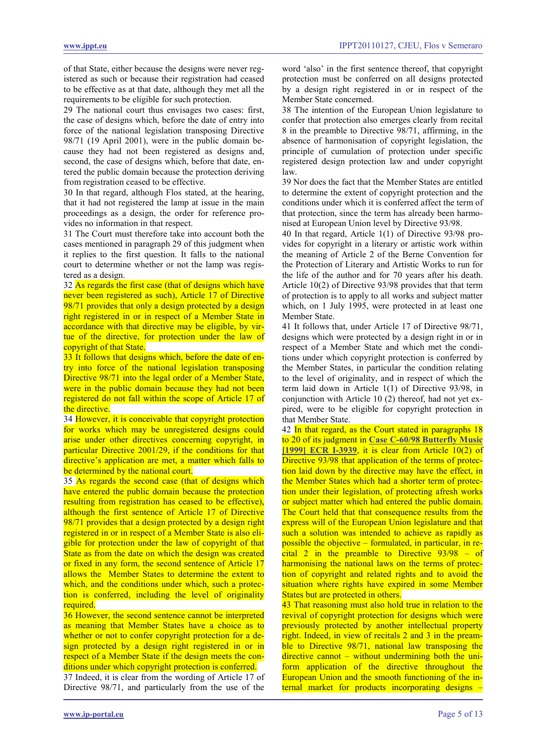of that State, either because the designs were never registered as such or because their registration had ceased to be effective as at that date, although they met all the requirements to be eligible for such protection.

29 The national court thus envisages two cases: first, the case of designs which, before the date of entry into force of the national legislation transposing Directive 98/71 (19 April 2001), were in the public domain because they had not been registered as designs and, second, the case of designs which, before that date, entered the public domain because the protection deriving from registration ceased to be effective.

30 In that regard, although Flos stated, at the hearing, that it had not registered the lamp at issue in the main proceedings as a design, the order for reference provides no information in that respect.

31 The Court must therefore take into account both the cases mentioned in paragraph 29 of this judgment when it replies to the first question. It falls to the national court to determine whether or not the lamp was registered as a design.

32 As regards the first case (that of designs which have never been registered as such), Article 17 of Directive 98/71 provides that only a design protected by a design right registered in or in respect of a Member State in accordance with that directive may be eligible, by virtue of the directive, for protection under the law of copyright of that State.

33 It follows that designs which, before the date of entry into force of the national legislation transposing Directive 98/71 into the legal order of a Member State, were in the public domain because they had not been registered do not fall within the scope of Article 17 of the directive.

34 However, it is conceivable that copyright protection for works which may be unregistered designs could arise under other directives concerning copyright, in particular Directive 2001/29, if the conditions for that directive's application are met, a matter which falls to be determined by the national court.

35 As regards the second case (that of designs which have entered the public domain because the protection resulting from registration has ceased to be effective), although the first sentence of Article 17 of Directive 98/71 provides that a design protected by a design right registered in or in respect of a Member State is also eligible for protection under the law of copyright of that State as from the date on which the design was created or fixed in any form, the second sentence of Article 17 allows the Member States to determine the extent to which, and the conditions under which, such a protection is conferred, including the level of originality required.

36 However, the second sentence cannot be interpreted as meaning that Member States have a choice as to whether or not to confer copyright protection for a design protected by a design right registered in or in respect of a Member State if the design meets the conditions under which copyright protection is conferred.

37 Indeed, it is clear from the wording of Article 17 of Directive 98/71, and particularly from the use of the

word 'also' in the first sentence thereof, that copyright protection must be conferred on all designs protected by a design right registered in or in respect of the Member State concerned.

38 The intention of the European Union legislature to confer that protection also emerges clearly from recital 8 in the preamble to Directive 98/71, affirming, in the absence of harmonisation of copyright legislation, the principle of cumulation of protection under specific registered design protection law and under copyright law.

39 Nor does the fact that the Member States are entitled to determine the extent of copyright protection and the conditions under which it is conferred affect the term of that protection, since the term has already been harmonised at European Union level by Directive 93/98.

40 In that regard, Article 1(1) of Directive 93/98 provides for copyright in a literary or artistic work within the meaning of Article 2 of the Berne Convention for the Protection of Literary and Artistic Works to run for the life of the author and for 70 years after his death. Article 10(2) of Directive 93/98 provides that that term of protection is to apply to all works and subject matter which, on 1 July 1995, were protected in at least one Member State.

41 It follows that, under Article 17 of Directive 98/71, designs which were protected by a design right in or in respect of a Member State and which met the conditions under which copyright protection is conferred by the Member States, in particular the condition relating to the level of originality, and in respect of which the term laid down in Article 1(1) of Directive 93/98, in conjunction with Article 10 (2) thereof, had not yet expired, were to be eligible for copyright protection in that Member State.

42 In that regard, as the Court stated in paragraphs 18 to 20 of its judgment in **[Case C-60/98 Butterfly](http://www.ippt.eu/files/1999/IPPT19990629_ECJ_Butterfly_Music_v_Cemed.pdf) Music [\[1999\] ECR I-3939](http://www.ippt.eu/files/1999/IPPT19990629_ECJ_Butterfly_Music_v_Cemed.pdf)**, it is clear from Article 10(2) of Directive 93/98 that application of the terms of protection laid down by the directive may have the effect, in the Member States which had a shorter term of protection under their legislation, of protecting afresh works or subject matter which had entered the public domain. The Court held that that consequence results from the express will of the European Union legislature and that such a solution was intended to achieve as rapidly as possible the objective – formulated, in particular, in recital 2 in the preamble to Directive  $93/98 - of$ harmonising the national laws on the terms of protection of copyright and related rights and to avoid the situation where rights have expired in some Member States but are protected in others.

43 That reasoning must also hold true in relation to the revival of copyright protection for designs which were previously protected by another intellectual property right. Indeed, in view of recitals 2 and 3 in the preamble to Directive 98/71, national law transposing the directive cannot – without undermining both the uniform application of the directive throughout the European Union and the smooth functioning of the internal market for products incorporating designs –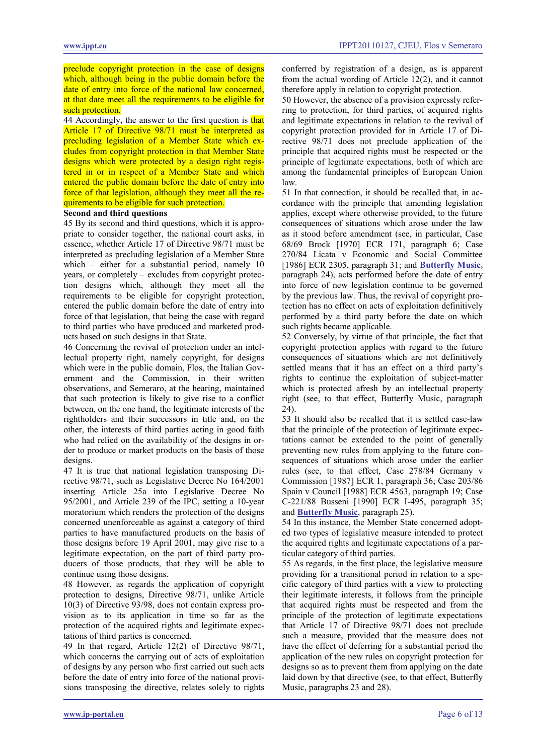preclude copyright protection in the case of designs which, although being in the public domain before the date of entry into force of the national law concerned, at that date meet all the requirements to be eligible for such protection.

44 Accordingly, the answer to the first question is that Article 17 of Directive 98/71 must be interpreted as precluding legislation of a Member State which excludes from copyright protection in that Member State designs which were protected by a design right registered in or in respect of a Member State and which entered the public domain before the date of entry into force of that legislation, although they meet all the requirements to be eligible for such protection.

#### **Second and third questions**

45 By its second and third questions, which it is appropriate to consider together, the national court asks, in essence, whether Article 17 of Directive 98/71 must be interpreted as precluding legislation of a Member State which – either for a substantial period, namely 10 years, or completely – excludes from copyright protection designs which, although they meet all the requirements to be eligible for copyright protection, entered the public domain before the date of entry into force of that legislation, that being the case with regard to third parties who have produced and marketed products based on such designs in that State.

46 Concerning the revival of protection under an intellectual property right, namely copyright, for designs which were in the public domain, Flos, the Italian Government and the Commission, in their written observations, and Semeraro, at the hearing, maintained that such protection is likely to give rise to a conflict between, on the one hand, the legitimate interests of the rightholders and their successors in title and, on the other, the interests of third parties acting in good faith who had relied on the availability of the designs in order to produce or market products on the basis of those designs.

47 It is true that national legislation transposing Directive 98/71, such as Legislative Decree No 164/2001 inserting Article 25a into Legislative Decree No 95/2001, and Article 239 of the IPC, setting a 10-year moratorium which renders the protection of the designs concerned unenforceable as against a category of third parties to have manufactured products on the basis of those designs before 19 April 2001, may give rise to a legitimate expectation, on the part of third party producers of those products, that they will be able to continue using those designs.

48 However, as regards the application of copyright protection to designs, Directive 98/71, unlike Article 10(3) of Directive 93/98, does not contain express provision as to its application in time so far as the protection of the acquired rights and legitimate expectations of third parties is concerned.

49 In that regard, Article 12(2) of Directive 98/71, which concerns the carrying out of acts of exploitation of designs by any person who first carried out such acts before the date of entry into force of the national provisions transposing the directive, relates solely to rights conferred by registration of a design, as is apparent from the actual wording of Article 12(2), and it cannot therefore apply in relation to copyright protection.

<span id="page-5-0"></span>50 However, the absence of a provision expressly referring to protection, for third parties, of acquired rights and legitimate expectations in relation to the revival of copyright protection provided for in Article 17 of Directive 98/71 does not preclude application of the principle that acquired rights must be respected or the principle of legitimate expectations, both of which are among the fundamental principles of European Union law.

51 In that connection, it should be recalled that, in accordance with the principle that amending legislation applies, except where otherwise provided, to the future consequences of situations which arose under the law as it stood before amendment (see, in particular, Case 68/69 Brock [1970] ECR 171, paragraph 6; Case 270/84 Licata v Economic and Social Committee [1986] ECR 2305, paragraph 31; and **[Butterfly Music](http://www.ippt.eu/files/1999/IPPT19990629_ECJ_Butterfly_Music_v_Cemed.pdf)**, paragraph 24), acts performed before the date of entry into force of new legislation continue to be governed by the previous law. Thus, the revival of copyright protection has no effect on acts of exploitation definitively performed by a third party before the date on which such rights became applicable.

52 Conversely, by virtue of that principle, the fact that copyright protection applies with regard to the future consequences of situations which are not definitively settled means that it has an effect on a third party's rights to continue the exploitation of subject-matter which is protected afresh by an intellectual property right (see, to that effect, Butterfly Music, paragraph 24).

53 It should also be recalled that it is settled case-law that the principle of the protection of legitimate expectations cannot be extended to the point of generally preventing new rules from applying to the future consequences of situations which arose under the earlier rules (see, to that effect, Case 278/84 Germany v Commission [1987] ECR 1, paragraph 36; Case 203/86 Spain v Council [1988] ECR 4563, paragraph 19; Case C-221/88 Busseni [1990] ECR I-495, paragraph 35; and **[Butterfly](http://www.ippt.eu/files/1999/IPPT19990629_ECJ_Butterfly_Music_v_Cemed.pdf) Music**, paragraph 25).

54 In this instance, the Member State concerned adopted two types of legislative measure intended to protect the acquired rights and legitimate expectations of a particular category of third parties.

55 As regards, in the first place, the legislative measure providing for a transitional period in relation to a specific category of third parties with a view to protecting their legitimate interests, it follows from the principle that acquired rights must be respected and from the principle of the protection of legitimate expectations that Article 17 of Directive 98/71 does not preclude such a measure, provided that the measure does not have the effect of deferring for a substantial period the application of the new rules on copyright protection for designs so as to prevent them from applying on the date laid down by that directive (see, to that effect, Butterfly Music, paragraphs 23 and 28).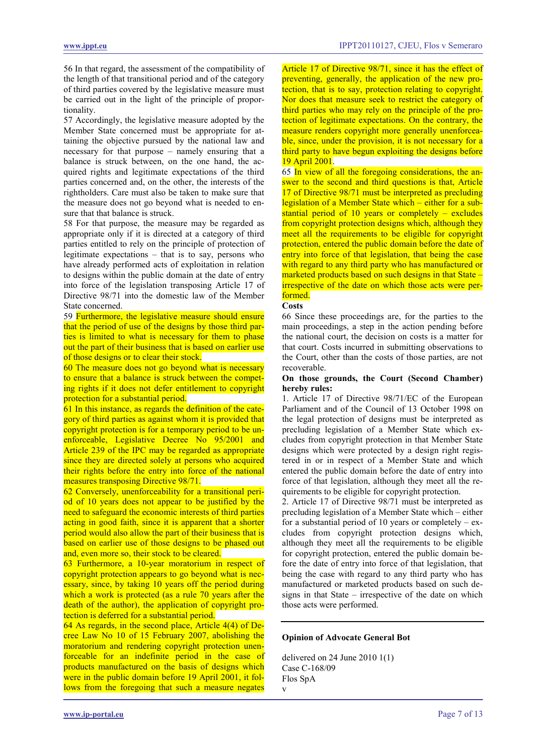56 In that regard, the assessment of the compatibility of the length of that transitional period and of the category of third parties covered by the legislative measure must be carried out in the light of the principle of proportionality.

57 Accordingly, the legislative measure adopted by the Member State concerned must be appropriate for attaining the objective pursued by the national law and necessary for that purpose – namely ensuring that a balance is struck between, on the one hand, the acquired rights and legitimate expectations of the third parties concerned and, on the other, the interests of the rightholders. Care must also be taken to make sure that the measure does not go beyond what is needed to ensure that that balance is struck.

58 For that purpose, the measure may be regarded as appropriate only if it is directed at a category of third parties entitled to rely on the principle of protection of legitimate expectations – that is to say, persons who have already performed acts of exploitation in relation to designs within the public domain at the date of entry into force of the legislation transposing Article 17 of Directive 98/71 into the domestic law of the Member State concerned.

59 Furthermore, the legislative measure should ensure that the period of use of the designs by those third parties is limited to what is necessary for them to phase out the part of their business that is based on earlier use of those designs or to clear their stock.

60 The measure does not go beyond what is necessary to ensure that a balance is struck between the competing rights if it does not defer entitlement to copyright protection for a substantial period.

61 In this instance, as regards the definition of the category of third parties as against whom it is provided that copyright protection is for a temporary period to be unenforceable, Legislative Decree No 95/2001 and Article 239 of the IPC may be regarded as appropriate since they are directed solely at persons who acquired their rights before the entry into force of the national measures transposing Directive 98/71.

62 Conversely, unenforceability for a transitional period of 10 years does not appear to be justified by the need to safeguard the economic interests of third parties acting in good faith, since it is apparent that a shorter period would also allow the part of their business that is based on earlier use of those designs to be phased out and, even more so, their stock to be cleared.

63 Furthermore, a 10-year moratorium in respect of copyright protection appears to go beyond what is necessary, since, by taking 10 years off the period during which a work is protected (as a rule 70 years after the death of the author), the application of copyright protection is deferred for a substantial period.

64 As regards, in the second place, Article 4(4) of Decree Law No 10 of 15 February 2007, abolishing the moratorium and rendering copyright protection unenforceable for an indefinite period in the case of products manufactured on the basis of designs which were in the public domain before 19 April 2001, it follows from the foregoing that such a measure negates

Article 17 of Directive 98/71, since it has the effect of preventing, generally, the application of the new protection, that is to say, protection relating to copyright. Nor does that measure seek to restrict the category of third parties who may rely on the principle of the protection of legitimate expectations. On the contrary, the measure renders copyright more generally unenforceable, since, under the provision, it is not necessary for a third party to have begun exploiting the designs before 19 April 2001.

<span id="page-6-0"></span>65 In view of all the foregoing considerations, the answer to the second and third questions is that, Article 17 of Directive 98/71 must be interpreted as precluding legislation of a Member State which – either for a substantial period of 10 years or completely – excludes from copyright protection designs which, although they meet all the requirements to be eligible for copyright protection, entered the public domain before the date of entry into force of that legislation, that being the case with regard to any third party who has manufactured or marketed products based on such designs in that State – irrespective of the date on which those acts were performed.

#### **Costs**

66 Since these proceedings are, for the parties to the main proceedings, a step in the action pending before the national court, the decision on costs is a matter for that court. Costs incurred in submitting observations to the Court, other than the costs of those parties, are not recoverable.

#### **On those grounds, the Court (Second Chamber) hereby rules:**

1. Article 17 of Directive 98/71/EC of the European Parliament and of the Council of 13 October 1998 on the legal protection of designs must be interpreted as precluding legislation of a Member State which excludes from copyright protection in that Member State designs which were protected by a design right registered in or in respect of a Member State and which entered the public domain before the date of entry into force of that legislation, although they meet all the requirements to be eligible for copyright protection.

2. Article 17 of Directive 98/71 must be interpreted as precluding legislation of a Member State which – either for a substantial period of 10 years or completely –  $ex$ cludes from copyright protection designs which, although they meet all the requirements to be eligible for copyright protection, entered the public domain before the date of entry into force of that legislation, that being the case with regard to any third party who has manufactured or marketed products based on such designs in that State – irrespective of the date on which those acts were performed.

#### **Opinion of Advocate General Bot**

delivered on 24 June 2010 1(1) Case C-168/09 Flos SpA v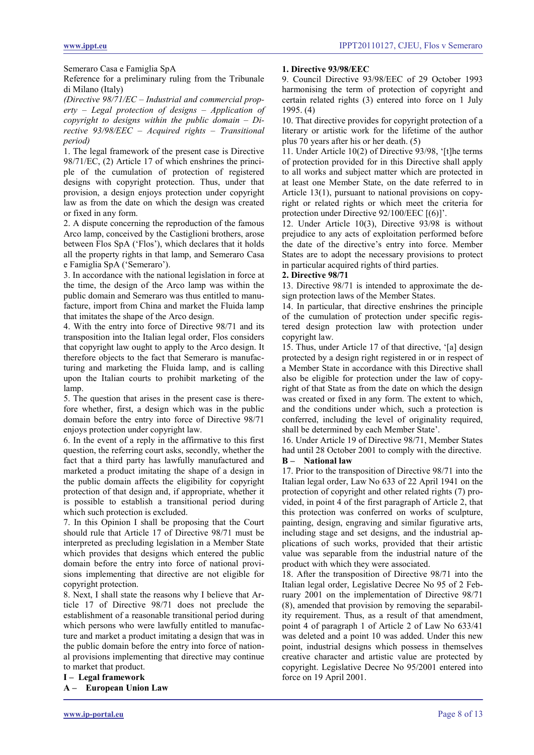Semeraro Casa e Famiglia SpA

Reference for a preliminary ruling from the Tribunale di Milano (Italy)

*(Directive 98/71/EC – Industrial and commercial property – Legal protection of designs – Application of copyright to designs within the public domain – Directive 93/98/EEC – Acquired rights – Transitional period)*

1. The legal framework of the present case is Directive 98/71/EC, (2) Article 17 of which enshrines the principle of the cumulation of protection of registered designs with copyright protection. Thus, under that provision, a design enjoys protection under copyright law as from the date on which the design was created or fixed in any form.

2. A dispute concerning the reproduction of the famous Arco lamp, conceived by the Castiglioni brothers, arose between Flos SpA ('Flos'), which declares that it holds all the property rights in that lamp, and Semeraro Casa e Famiglia SpA ('Semeraro').

3. In accordance with the national legislation in force at the time, the design of the Arco lamp was within the public domain and Semeraro was thus entitled to manufacture, import from China and market the Fluida lamp that imitates the shape of the Arco design.

4. With the entry into force of Directive 98/71 and its transposition into the Italian legal order, Flos considers that copyright law ought to apply to the Arco design. It therefore objects to the fact that Semeraro is manufacturing and marketing the Fluida lamp, and is calling upon the Italian courts to prohibit marketing of the lamp.

5. The question that arises in the present case is therefore whether, first, a design which was in the public domain before the entry into force of Directive 98/71 enjoys protection under copyright law.

6. In the event of a reply in the affirmative to this first question, the referring court asks, secondly, whether the fact that a third party has lawfully manufactured and marketed a product imitating the shape of a design in the public domain affects the eligibility for copyright protection of that design and, if appropriate, whether it is possible to establish a transitional period during which such protection is excluded.

7. In this Opinion I shall be proposing that the Court should rule that Article 17 of Directive 98/71 must be interpreted as precluding legislation in a Member State which provides that designs which entered the public domain before the entry into force of national provisions implementing that directive are not eligible for copyright protection.

8. Next, I shall state the reasons why I believe that Article 17 of Directive 98/71 does not preclude the establishment of a reasonable transitional period during which persons who were lawfully entitled to manufacture and market a product imitating a design that was in the public domain before the entry into force of national provisions implementing that directive may continue to market that product.

**I – Legal framework A – European Union Law** 

# **1. Directive 93/98/EEC**

9. Council Directive 93/98/EEC of 29 October 1993 harmonising the term of protection of copyright and certain related rights (3) entered into force on 1 July 1995. (4)

10. That directive provides for copyright protection of a literary or artistic work for the lifetime of the author plus 70 years after his or her death. (5)

11. Under Article 10(2) of Directive 93/98, '[t]he terms of protection provided for in this Directive shall apply to all works and subject matter which are protected in at least one Member State, on the date referred to in Article 13(1), pursuant to national provisions on copyright or related rights or which meet the criteria for protection under Directive 92/100/EEC [(6)]'.

12. Under Article 10(3), Directive 93/98 is without prejudice to any acts of exploitation performed before the date of the directive's entry into force. Member States are to adopt the necessary provisions to protect in particular acquired rights of third parties.

### **2. Directive 98/71**

13. Directive 98/71 is intended to approximate the design protection laws of the Member States.

14. In particular, that directive enshrines the principle of the cumulation of protection under specific registered design protection law with protection under copyright law.

15. Thus, under Article 17 of that directive, '[a] design protected by a design right registered in or in respect of a Member State in accordance with this Directive shall also be eligible for protection under the law of copyright of that State as from the date on which the design was created or fixed in any form. The extent to which, and the conditions under which, such a protection is conferred, including the level of originality required, shall be determined by each Member State'.

16. Under Article 19 of Directive 98/71, Member States had until 28 October 2001 to comply with the directive.

# **B – National law**

17. Prior to the transposition of Directive 98/71 into the Italian legal order, Law No 633 of 22 April 1941 on the protection of copyright and other related rights (7) provided, in point 4 of the first paragraph of Article 2, that this protection was conferred on works of sculpture, painting, design, engraving and similar figurative arts, including stage and set designs, and the industrial applications of such works, provided that their artistic value was separable from the industrial nature of the product with which they were associated.

18. After the transposition of Directive 98/71 into the Italian legal order, Legislative Decree No 95 of 2 February 2001 on the implementation of Directive 98/71 (8), amended that provision by removing the separability requirement. Thus, as a result of that amendment, point 4 of paragraph 1 of Article 2 of Law No 633/41 was deleted and a point 10 was added. Under this new point, industrial designs which possess in themselves creative character and artistic value are protected by copyright. Legislative Decree No 95/2001 entered into force on 19 April 2001.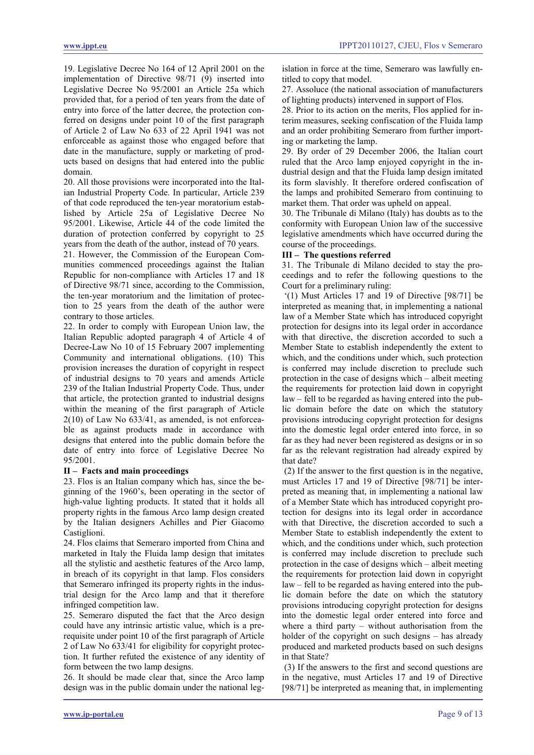19. Legislative Decree No 164 of 12 April 2001 on the implementation of Directive 98/71 (9) inserted into Legislative Decree No 95/2001 an Article 25a which provided that, for a period of ten years from the date of entry into force of the latter decree, the protection conferred on designs under point 10 of the first paragraph of Article 2 of Law No 633 of 22 April 1941 was not enforceable as against those who engaged before that date in the manufacture, supply or marketing of products based on designs that had entered into the public domain.

20. All those provisions were incorporated into the Italian Industrial Property Code. In particular, Article 239 of that code reproduced the ten-year moratorium established by Article 25a of Legislative Decree No 95/2001. Likewise, Article 44 of the code limited the duration of protection conferred by copyright to 25 years from the death of the author, instead of 70 years.

21. However, the Commission of the European Communities commenced proceedings against the Italian Republic for non-compliance with Articles 17 and 18 of Directive 98/71 since, according to the Commission, the ten-year moratorium and the limitation of protection to 25 years from the death of the author were contrary to those articles.

22. In order to comply with European Union law, the Italian Republic adopted paragraph 4 of Article 4 of Decree-Law No 10 of 15 February 2007 implementing Community and international obligations. (10) This provision increases the duration of copyright in respect of industrial designs to 70 years and amends Article 239 of the Italian Industrial Property Code. Thus, under that article, the protection granted to industrial designs within the meaning of the first paragraph of Article  $2(10)$  of Law No  $633/41$ , as amended, is not enforceable as against products made in accordance with designs that entered into the public domain before the date of entry into force of Legislative Decree No 95/2001.

#### **II – Facts and main proceedings**

23. Flos is an Italian company which has, since the beginning of the 1960's, been operating in the sector of high-value lighting products. It stated that it holds all property rights in the famous Arco lamp design created by the Italian designers Achilles and Pier Giacomo Castiglioni.

24. Flos claims that Semeraro imported from China and marketed in Italy the Fluida lamp design that imitates all the stylistic and aesthetic features of the Arco lamp, in breach of its copyright in that lamp. Flos considers that Semeraro infringed its property rights in the industrial design for the Arco lamp and that it therefore infringed competition law.

25. Semeraro disputed the fact that the Arco design could have any intrinsic artistic value, which is a prerequisite under point 10 of the first paragraph of Article 2 of Law No 633/41 for eligibility for copyright protection. It further refuted the existence of any identity of form between the two lamp designs.

26. It should be made clear that, since the Arco lamp design was in the public domain under the national legislation in force at the time, Semeraro was lawfully entitled to copy that model.

27. Assoluce (the national association of manufacturers of lighting products) intervened in support of Flos.

28. Prior to its action on the merits, Flos applied for interim measures, seeking confiscation of the Fluida lamp and an order prohibiting Semeraro from further importing or marketing the lamp.

29. By order of 29 December 2006, the Italian court ruled that the Arco lamp enjoyed copyright in the industrial design and that the Fluida lamp design imitated its form slavishly. It therefore ordered confiscation of the lamps and prohibited Semeraro from continuing to market them. That order was upheld on appeal.

30. The Tribunale di Milano (Italy) has doubts as to the conformity with European Union law of the successive legislative amendments which have occurred during the course of the proceedings.

### **III – The questions referred**

31. The Tribunale di Milano decided to stay the proceedings and to refer the following questions to the Court for a preliminary ruling:

'(1) Must Articles 17 and 19 of Directive [98/71] be interpreted as meaning that, in implementing a national law of a Member State which has introduced copyright protection for designs into its legal order in accordance with that directive, the discretion accorded to such a Member State to establish independently the extent to which, and the conditions under which, such protection is conferred may include discretion to preclude such protection in the case of designs which – albeit meeting the requirements for protection laid down in copyright law – fell to be regarded as having entered into the public domain before the date on which the statutory provisions introducing copyright protection for designs into the domestic legal order entered into force, in so far as they had never been registered as designs or in so far as the relevant registration had already expired by that date?

(2) If the answer to the first question is in the negative, must Articles 17 and 19 of Directive [98/71] be interpreted as meaning that, in implementing a national law of a Member State which has introduced copyright protection for designs into its legal order in accordance with that Directive, the discretion accorded to such a Member State to establish independently the extent to which, and the conditions under which, such protection is conferred may include discretion to preclude such protection in the case of designs which – albeit meeting the requirements for protection laid down in copyright law – fell to be regarded as having entered into the public domain before the date on which the statutory provisions introducing copyright protection for designs into the domestic legal order entered into force and where a third party – without authorisation from the holder of the copyright on such designs – has already produced and marketed products based on such designs in that State?

(3) If the answers to the first and second questions are in the negative, must Articles 17 and 19 of Directive [98/71] be interpreted as meaning that, in implementing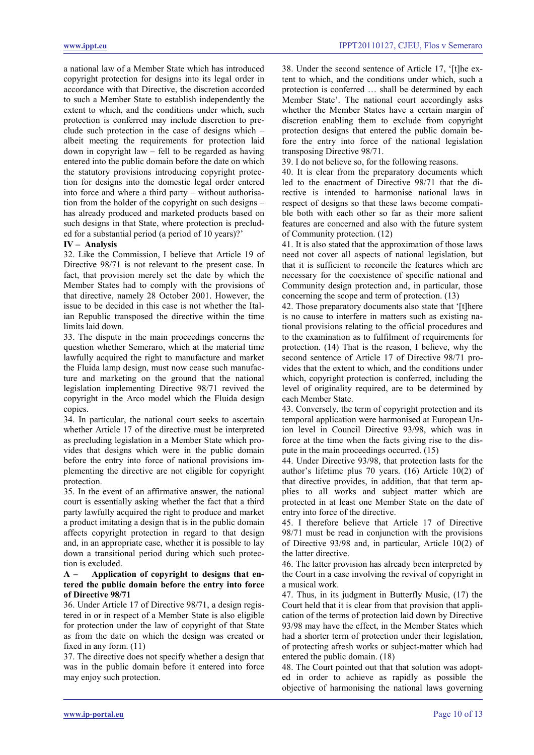a national law of a Member State which has introduced copyright protection for designs into its legal order in accordance with that Directive, the discretion accorded to such a Member State to establish independently the extent to which, and the conditions under which, such protection is conferred may include discretion to preclude such protection in the case of designs which – albeit meeting the requirements for protection laid down in copyright law – fell to be regarded as having entered into the public domain before the date on which the statutory provisions introducing copyright protection for designs into the domestic legal order entered into force and where a third party – without authorisation from the holder of the copyright on such designs – has already produced and marketed products based on such designs in that State, where protection is precluded for a substantial period (a period of 10 years)?'

#### **IV – Analysis**

32. Like the Commission, I believe that Article 19 of Directive 98/71 is not relevant to the present case. In fact, that provision merely set the date by which the Member States had to comply with the provisions of that directive, namely 28 October 2001. However, the issue to be decided in this case is not whether the Italian Republic transposed the directive within the time limits laid down.

33. The dispute in the main proceedings concerns the question whether Semeraro, which at the material time lawfully acquired the right to manufacture and market the Fluida lamp design, must now cease such manufacture and marketing on the ground that the national legislation implementing Directive 98/71 revived the copyright in the Arco model which the Fluida design copies.

34. In particular, the national court seeks to ascertain whether Article 17 of the directive must be interpreted as precluding legislation in a Member State which provides that designs which were in the public domain before the entry into force of national provisions implementing the directive are not eligible for copyright protection.

35. In the event of an affirmative answer, the national court is essentially asking whether the fact that a third party lawfully acquired the right to produce and market a product imitating a design that is in the public domain affects copyright protection in regard to that design and, in an appropriate case, whether it is possible to lay down a transitional period during which such protection is excluded.

#### **A – Application of copyright to designs that entered the public domain before the entry into force of Directive 98/71**

36. Under Article 17 of Directive 98/71, a design registered in or in respect of a Member State is also eligible for protection under the law of copyright of that State as from the date on which the design was created or fixed in any form. (11)

37. The directive does not specify whether a design that was in the public domain before it entered into force may enjoy such protection.

38. Under the second sentence of Article 17, '[t]he extent to which, and the conditions under which, such a protection is conferred … shall be determined by each Member State'. The national court accordingly asks whether the Member States have a certain margin of discretion enabling them to exclude from copyright protection designs that entered the public domain before the entry into force of the national legislation transposing Directive 98/71.

39. I do not believe so, for the following reasons.

40. It is clear from the preparatory documents which led to the enactment of Directive 98/71 that the directive is intended to harmonise national laws in respect of designs so that these laws become compatible both with each other so far as their more salient features are concerned and also with the future system of Community protection. (12)

41. It is also stated that the approximation of those laws need not cover all aspects of national legislation, but that it is sufficient to reconcile the features which are necessary for the coexistence of specific national and Community design protection and, in particular, those concerning the scope and term of protection. (13)

42. Those preparatory documents also state that '[t]here is no cause to interfere in matters such as existing national provisions relating to the official procedures and to the examination as to fulfilment of requirements for protection. (14) That is the reason, I believe, why the second sentence of Article 17 of Directive 98/71 provides that the extent to which, and the conditions under which, copyright protection is conferred, including the level of originality required, are to be determined by each Member State.

43. Conversely, the term of copyright protection and its temporal application were harmonised at European Union level in Council Directive 93/98, which was in force at the time when the facts giving rise to the dispute in the main proceedings occurred. (15)

44. Under Directive 93/98, that protection lasts for the author's lifetime plus 70 years. (16) Article 10(2) of that directive provides, in addition, that that term applies to all works and subject matter which are protected in at least one Member State on the date of entry into force of the directive.

45. I therefore believe that Article 17 of Directive 98/71 must be read in conjunction with the provisions of Directive 93/98 and, in particular, Article 10(2) of the latter directive.

46. The latter provision has already been interpreted by the Court in a case involving the revival of copyright in a musical work.

47. Thus, in its judgment in Butterfly Music, (17) the Court held that it is clear from that provision that application of the terms of protection laid down by Directive 93/98 may have the effect, in the Member States which had a shorter term of protection under their legislation, of protecting afresh works or subject-matter which had entered the public domain. (18)

48. The Court pointed out that that solution was adopted in order to achieve as rapidly as possible the objective of harmonising the national laws governing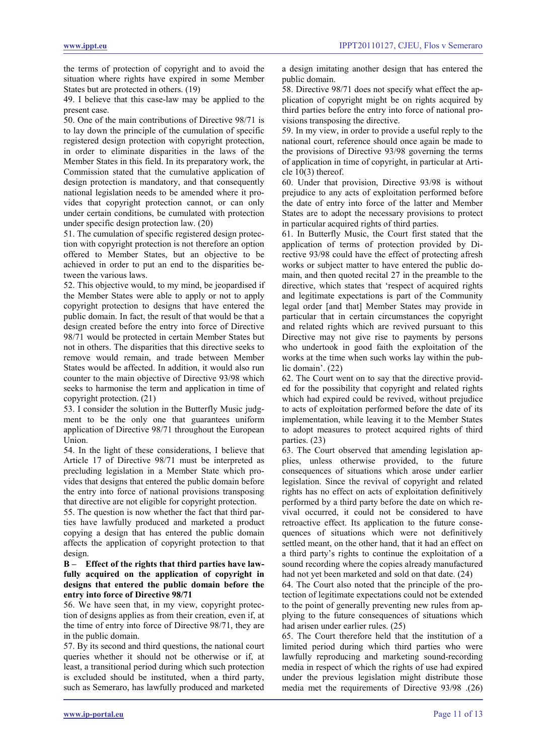the terms of protection of copyright and to avoid the situation where rights have expired in some Member States but are protected in others. (19)

49. I believe that this case-law may be applied to the present case.

50. One of the main contributions of Directive 98/71 is to lay down the principle of the cumulation of specific registered design protection with copyright protection, in order to eliminate disparities in the laws of the Member States in this field. In its preparatory work, the Commission stated that the cumulative application of design protection is mandatory, and that consequently national legislation needs to be amended where it provides that copyright protection cannot, or can only under certain conditions, be cumulated with protection under specific design protection law. (20)

51. The cumulation of specific registered design protection with copyright protection is not therefore an option offered to Member States, but an objective to be achieved in order to put an end to the disparities between the various laws.

52. This objective would, to my mind, be jeopardised if the Member States were able to apply or not to apply copyright protection to designs that have entered the public domain. In fact, the result of that would be that a design created before the entry into force of Directive 98/71 would be protected in certain Member States but not in others. The disparities that this directive seeks to remove would remain, and trade between Member States would be affected. In addition, it would also run counter to the main objective of Directive 93/98 which seeks to harmonise the term and application in time of copyright protection. (21)

53. I consider the solution in the Butterfly Music judgment to be the only one that guarantees uniform application of Directive 98/71 throughout the European Union.

54. In the light of these considerations, I believe that Article 17 of Directive 98/71 must be interpreted as precluding legislation in a Member State which provides that designs that entered the public domain before the entry into force of national provisions transposing that directive are not eligible for copyright protection.

55. The question is now whether the fact that third parties have lawfully produced and marketed a product copying a design that has entered the public domain affects the application of copyright protection to that design.

# **B – Effect of the rights that third parties have lawfully acquired on the application of copyright in designs that entered the public domain before the entry into force of Directive 98/71**

56. We have seen that, in my view, copyright protection of designs applies as from their creation, even if, at the time of entry into force of Directive 98/71, they are in the public domain.

57. By its second and third questions, the national court queries whether it should not be otherwise or if, at least, a transitional period during which such protection is excluded should be instituted, when a third party, such as Semeraro, has lawfully produced and marketed a design imitating another design that has entered the public domain.

58. Directive 98/71 does not specify what effect the application of copyright might be on rights acquired by third parties before the entry into force of national provisions transposing the directive.

59. In my view, in order to provide a useful reply to the national court, reference should once again be made to the provisions of Directive 93/98 governing the terms of application in time of copyright, in particular at Article 10(3) thereof.

60. Under that provision, Directive 93/98 is without prejudice to any acts of exploitation performed before the date of entry into force of the latter and Member States are to adopt the necessary provisions to protect in particular acquired rights of third parties.

61. In Butterfly Music, the Court first stated that the application of terms of protection provided by Directive 93/98 could have the effect of protecting afresh works or subject matter to have entered the public domain, and then quoted recital 27 in the preamble to the directive, which states that 'respect of acquired rights and legitimate expectations is part of the Community legal order [and that] Member States may provide in particular that in certain circumstances the copyright and related rights which are revived pursuant to this Directive may not give rise to payments by persons who undertook in good faith the exploitation of the works at the time when such works lay within the public domain'. (22)

62. The Court went on to say that the directive provided for the possibility that copyright and related rights which had expired could be revived, without prejudice to acts of exploitation performed before the date of its implementation, while leaving it to the Member States to adopt measures to protect acquired rights of third parties. (23)

63. The Court observed that amending legislation applies, unless otherwise provided, to the future consequences of situations which arose under earlier legislation. Since the revival of copyright and related rights has no effect on acts of exploitation definitively performed by a third party before the date on which revival occurred, it could not be considered to have retroactive effect. Its application to the future consequences of situations which were not definitively settled meant, on the other hand, that it had an effect on a third party's rights to continue the exploitation of a sound recording where the copies already manufactured had not yet been marketed and sold on that date. (24)

64. The Court also noted that the principle of the protection of legitimate expectations could not be extended to the point of generally preventing new rules from applying to the future consequences of situations which had arisen under earlier rules. (25)

65. The Court therefore held that the institution of a limited period during which third parties who were lawfully reproducing and marketing sound-recording media in respect of which the rights of use had expired under the previous legislation might distribute those media met the requirements of Directive 93/98 .(26)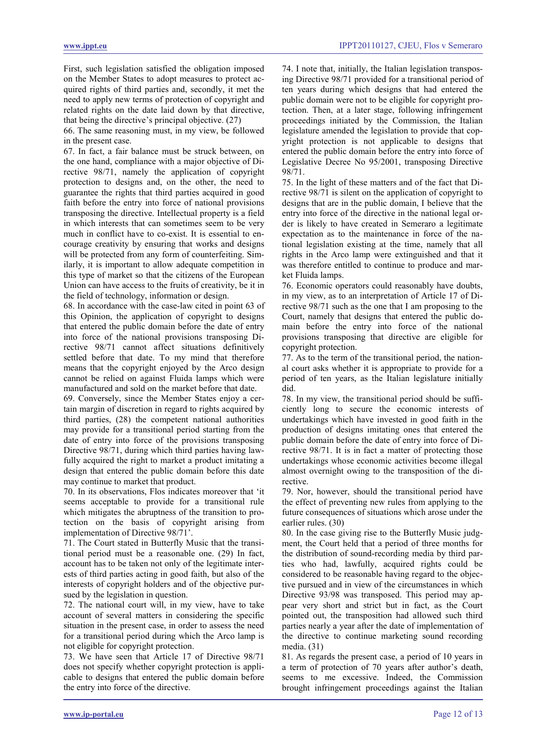First, such legislation satisfied the obligation imposed on the Member States to adopt measures to protect acquired rights of third parties and, secondly, it met the need to apply new terms of protection of copyright and related rights on the date laid down by that directive, that being the directive's principal objective. (27)

66. The same reasoning must, in my view, be followed in the present case.

67. In fact, a fair balance must be struck between, on the one hand, compliance with a major objective of Directive 98/71, namely the application of copyright protection to designs and, on the other, the need to guarantee the rights that third parties acquired in good faith before the entry into force of national provisions transposing the directive. Intellectual property is a field in which interests that can sometimes seem to be very much in conflict have to co-exist. It is essential to encourage creativity by ensuring that works and designs will be protected from any form of counterfeiting. Similarly, it is important to allow adequate competition in this type of market so that the citizens of the European Union can have access to the fruits of creativity, be it in the field of technology, information or design.

68. In accordance with the case-law cited in point 63 of this Opinion, the application of copyright to designs that entered the public domain before the date of entry into force of the national provisions transposing Directive 98/71 cannot affect situations definitively settled before that date. To my mind that therefore means that the copyright enjoyed by the Arco design cannot be relied on against Fluida lamps which were manufactured and sold on the market before that date.

69. Conversely, since the Member States enjoy a certain margin of discretion in regard to rights acquired by third parties, (28) the competent national authorities may provide for a transitional period starting from the date of entry into force of the provisions transposing Directive 98/71, during which third parties having lawfully acquired the right to market a product imitating a design that entered the public domain before this date may continue to market that product.

70. In its observations, Flos indicates moreover that 'it seems acceptable to provide for a transitional rule which mitigates the abruptness of the transition to protection on the basis of copyright arising from implementation of Directive 98/71'.

71. The Court stated in Butterfly Music that the transitional period must be a reasonable one. (29) In fact, account has to be taken not only of the legitimate interests of third parties acting in good faith, but also of the interests of copyright holders and of the objective pursued by the legislation in question.

72. The national court will, in my view, have to take account of several matters in considering the specific situation in the present case, in order to assess the need for a transitional period during which the Arco lamp is not eligible for copyright protection.

73. We have seen that Article 17 of Directive 98/71 does not specify whether copyright protection is applicable to designs that entered the public domain before the entry into force of the directive.

74. I note that, initially, the Italian legislation transposing Directive 98/71 provided for a transitional period of ten years during which designs that had entered the public domain were not to be eligible for copyright protection. Then, at a later stage, following infringement proceedings initiated by the Commission, the Italian legislature amended the legislation to provide that copyright protection is not applicable to designs that entered the public domain before the entry into force of Legislative Decree No 95/2001, transposing Directive 98/71.

75. In the light of these matters and of the fact that Directive 98/71 is silent on the application of copyright to designs that are in the public domain, I believe that the entry into force of the directive in the national legal order is likely to have created in Semeraro a legitimate expectation as to the maintenance in force of the national legislation existing at the time, namely that all rights in the Arco lamp were extinguished and that it was therefore entitled to continue to produce and market Fluida lamps.

76. Economic operators could reasonably have doubts, in my view, as to an interpretation of Article 17 of Directive 98/71 such as the one that I am proposing to the Court, namely that designs that entered the public domain before the entry into force of the national provisions transposing that directive are eligible for copyright protection.

77. As to the term of the transitional period, the national court asks whether it is appropriate to provide for a period of ten years, as the Italian legislature initially did.

78. In my view, the transitional period should be sufficiently long to secure the economic interests of undertakings which have invested in good faith in the production of designs imitating ones that entered the public domain before the date of entry into force of Directive 98/71. It is in fact a matter of protecting those undertakings whose economic activities become illegal almost overnight owing to the transposition of the directive.

79. Nor, however, should the transitional period have the effect of preventing new rules from applying to the future consequences of situations which arose under the earlier rules. (30)

80. In the case giving rise to the Butterfly Music judgment, the Court held that a period of three months for the distribution of sound-recording media by third parties who had, lawfully, acquired rights could be considered to be reasonable having regard to the objective pursued and in view of the circumstances in which Directive 93/98 was transposed. This period may appear very short and strict but in fact, as the Court pointed out, the transposition had allowed such third parties nearly a year after the date of implementation of the directive to continue marketing sound recording media. (31)

81. As regards the present case, a period of 10 years in a term of protection of 70 years after author's death, seems to me excessive. Indeed, the Commission brought infringement proceedings against the Italian